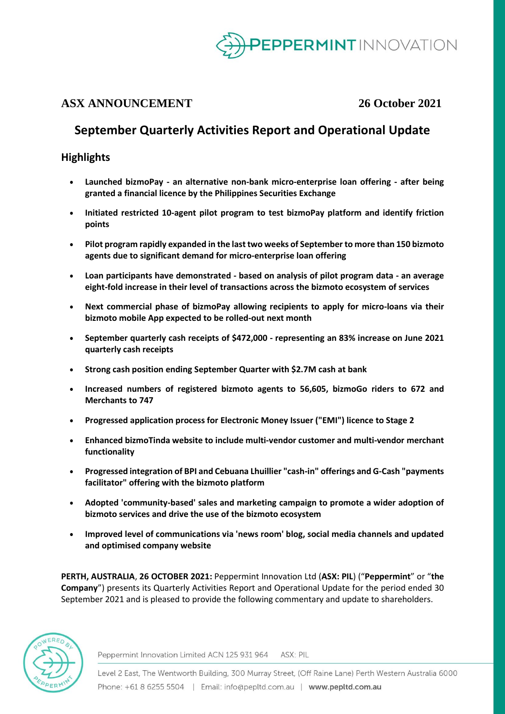

### **ASX ANNOUNCEMENT 26 October 2021**

# **September Quarterly Activities Report and Operational Update**

### **Highlights**

- **Launched bizmoPay - an alternative non-bank micro-enterprise loan offering - after being granted a financial licence by the Philippines Securities Exchange**
- **Initiated restricted 10-agent pilot program to test bizmoPay platform and identify friction points**
- **Pilot program rapidly expanded in the last two weeks of September to more than 150 bizmoto agents due to significant demand for micro-enterprise loan offering**
- **Loan participants have demonstrated - based on analysis of pilot program data - an average eight-fold increase in their level of transactions across the bizmoto ecosystem of services**
- **Next commercial phase of bizmoPay allowing recipients to apply for micro-loans via their bizmoto mobile App expected to be rolled-out next month**
- **September quarterly cash receipts of \$472,000 - representing an 83% increase on June 2021 quarterly cash receipts**
- **Strong cash position ending September Quarter with \$2.7M cash at bank**
- **Increased numbers of registered bizmoto agents to 56,605, bizmoGo riders to 672 and Merchants to 747**
- **Progressed application process for Electronic Money Issuer ("EMI") licence to Stage 2**
- **Enhanced bizmoTinda website to include multi-vendor customer and multi-vendor merchant functionality**
- **Progressed integration of BPI and Cebuana Lhuillier "cash-in" offerings and G-Cash "payments facilitator" offering with the bizmoto platform**
- **Adopted 'community-based' sales and marketing campaign to promote a wider adoption of bizmoto services and drive the use of the bizmoto ecosystem**
- **Improved level of communications via 'news room' blog, social media channels and updated and optimised company website**

**PERTH, AUSTRALIA**, **26 OCTOBER 2021:** Peppermint Innovation Ltd (**ASX: PIL**) ("**Peppermint**" or "**the Company**") presents its Quarterly Activities Report and Operational Update for the period ended 30 September 2021 and is pleased to provide the following commentary and update to shareholders.



Peppermint Innovation Limited ACN 125 931 964 ASX: PIL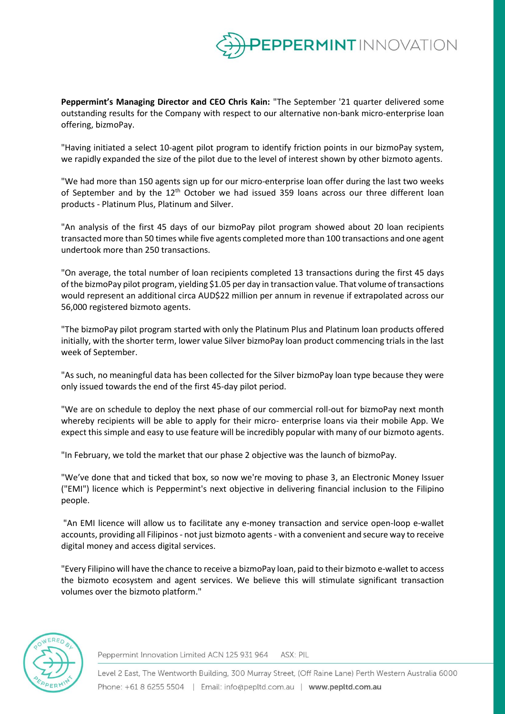

**Peppermint's Managing Director and CEO Chris Kain:** "The September '21 quarter delivered some outstanding results for the Company with respect to our alternative non-bank micro-enterprise loan offering, bizmoPay.

"Having initiated a select 10-agent pilot program to identify friction points in our bizmoPay system, we rapidly expanded the size of the pilot due to the level of interest shown by other bizmoto agents.

"We had more than 150 agents sign up for our micro-enterprise loan offer during the last two weeks of September and by the 12<sup>th</sup> October we had issued 359 loans across our three different loan products - Platinum Plus, Platinum and Silver.

"An analysis of the first 45 days of our bizmoPay pilot program showed about 20 loan recipients transacted more than 50 times while five agents completed more than 100 transactions and one agent undertook more than 250 transactions.

"On average, the total number of loan recipients completed 13 transactions during the first 45 days of the bizmoPay pilot program, yielding \$1.05 per day in transaction value. That volume of transactions would represent an additional circa AUD\$22 million per annum in revenue if extrapolated across our 56,000 registered bizmoto agents.

"The bizmoPay pilot program started with only the Platinum Plus and Platinum loan products offered initially, with the shorter term, lower value Silver bizmoPay loan product commencing trials in the last week of September.

"As such, no meaningful data has been collected for the Silver bizmoPay loan type because they were only issued towards the end of the first 45-day pilot period.

"We are on schedule to deploy the next phase of our commercial roll-out for bizmoPay next month whereby recipients will be able to apply for their micro- enterprise loans via their mobile App. We expect this simple and easy to use feature will be incredibly popular with many of our bizmoto agents.

"In February, we told the market that our phase 2 objective was the launch of bizmoPay.

"We've done that and ticked that box, so now we're moving to phase 3, an Electronic Money Issuer ("EMI") licence which is Peppermint's next objective in delivering financial inclusion to the Filipino people.

"An EMI licence will allow us to facilitate any e-money transaction and service open-loop e-wallet accounts, providing all Filipinos - not just bizmoto agents- with a convenient and secure way to receive digital money and access digital services.

"Every Filipino will have the chance to receive a bizmoPay loan, paid to their bizmoto e-wallet to access the bizmoto ecosystem and agent services. We believe this will stimulate significant transaction volumes over the bizmoto platform."



Peppermint Innovation Limited ACN 125 931 964 ASX: PIL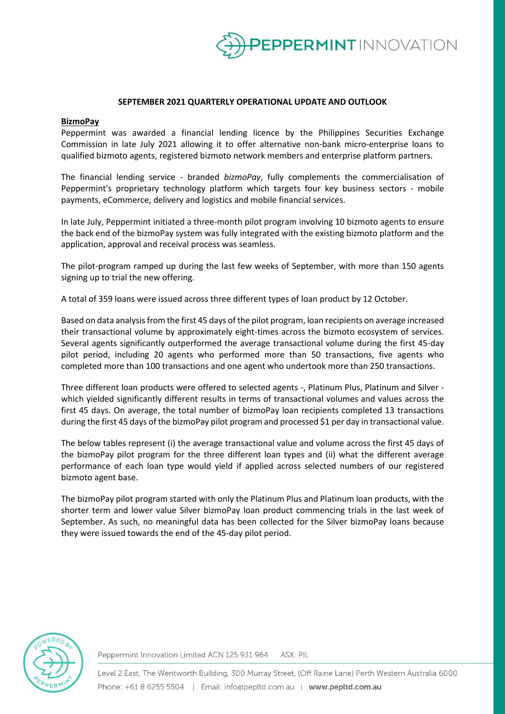

#### **SEPTEMBER 2021 QUARTERLY OPERATIONAL UPDATE AND OUTLOOK**

#### **BizmoPay**

Peppermint was awarded a financial lending licence by the Philippines Securities Exchange Commission in late July 2021 allowing it to offer alternative non-bank micro-enterprise loans to qualified bizmoto agents, registered bizmoto network members and enterprise platform partners.

The financial lending service - branded *bizmoPay*, fully complements the commercialisation of Peppermint's proprietary technology platform which targets four key business sectors - mobile payments, eCommerce, delivery and logistics and mobile financial services.

In late July, Peppermint initiated a three-month pilot program involving 10 bizmoto agents to ensure the back end of the bizmoPay system was fully integrated with the existing bizmoto platform and the application, approval and receival process was seamless.

The pilot-program ramped up during the last few weeks of September, with more than 150 agents signing up to trial the new offering.

A total of 359 loans were issued across three different types of loan product by 12 October.

Based on data analysis from the first 45 days of the pilot program, loan recipients on average increased their transactional volume by approximately eight-times across the bizmoto ecosystem of services. Several agents significantly outperformed the average transactional volume during the first 45-day pilot period, including 20 agents who performed more than 50 transactions, five agents who completed more than 100 transactions and one agent who undertook more than 250 transactions.

Three different loan products were offered to selected agents -, Platinum Plus, Platinum and Silver which yielded significantly different results in terms of transactional volumes and values across the first 45 days. On average, the total number of bizmoPay loan recipients completed 13 transactions during the first 45 days of the bizmoPay pilot program and processed \$1 per day in transactional value.

The below tables represent (i) the average transactional value and volume across the first 45 days of the bizmoPay pilot program for the three different loan types and (ii) what the different average performance of each loan type would yield if applied across selected numbers of our registered bizmoto agent base.

The bizmoPay pilot program started with only the Platinum Plus and Platinum loan products, with the shorter term and lower value Silver bizmoPay loan product commencing trials in the last week of September. As such, no meaningful data has been collected for the Silver bizmoPay loans because they were issued towards the end of the 45-day pilot period.



Peppermint Innovation Limited ACN 125 931 964 ASX: PIL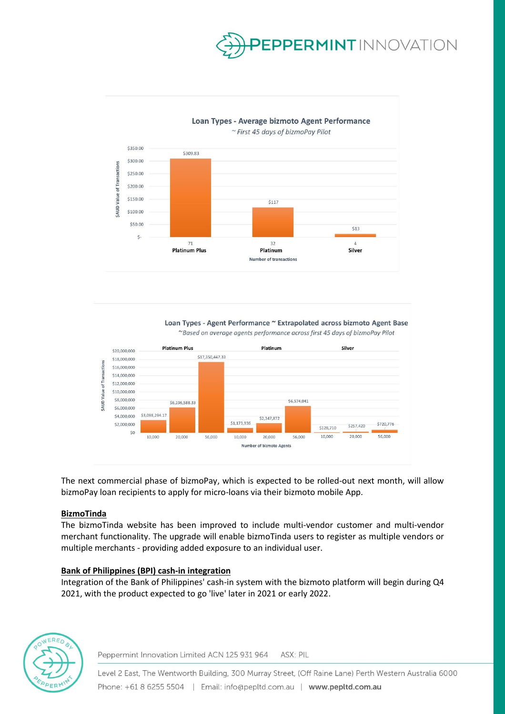

## Loan Types - Average bizmoto Agent Performance



Loan Types - Agent Performance ~ Extrapolated across bizmoto Agent Base ~Based on average agents performance across first 45 days of bizmoPay Pilot



The next commercial phase of bizmoPay, which is expected to be rolled-out next month, will allow bizmoPay loan recipients to apply for micro-loans via their bizmoto mobile App.

#### **BizmoTinda**

The bizmoTinda website has been improved to include multi-vendor customer and multi-vendor merchant functionality. The upgrade will enable bizmoTinda users to register as multiple vendors or multiple merchants - providing added exposure to an individual user.

#### **Bank of Philippines (BPI) cash-in integration**

Integration of the Bank of Philippines' cash-in system with the bizmoto platform will begin during Q4 2021, with the product expected to go 'live' later in 2021 or early 2022.



Peppermint Innovation Limited ACN 125 931 964 ASX: PIL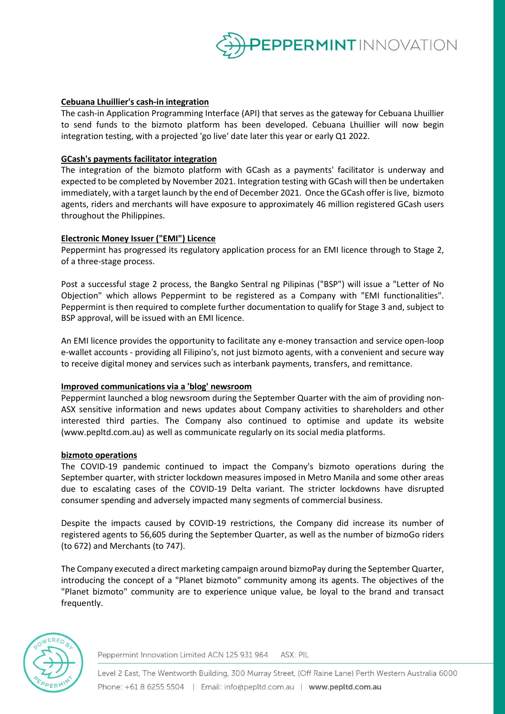

#### **Cebuana Lhuillier's cash-in integration**

The cash-in Application Programming Interface (API) that serves as the gateway for Cebuana Lhuillier to send funds to the bizmoto platform has been developed. Cebuana Lhuillier will now begin integration testing, with a projected 'go live' date later this year or early Q1 2022.

#### **GCash's payments facilitator integration**

The integration of the bizmoto platform with GCash as a payments' facilitator is underway and expected to be completed by November 2021. Integration testing with GCash will then be undertaken immediately, with a target launch by the end of December 2021. Once the GCash offer is live, bizmoto agents, riders and merchants will have exposure to approximately 46 million registered GCash users throughout the Philippines.

#### **Electronic Money Issuer ("EMI") Licence**

Peppermint has progressed its regulatory application process for an EMI licence through to Stage 2, of a three-stage process.

Post a successful stage 2 process, the Bangko Sentral ng Pilipinas ("BSP") will issue a "Letter of No Objection" which allows Peppermint to be registered as a Company with "EMI functionalities". Peppermint is then required to complete further documentation to qualify for Stage 3 and, subject to BSP approval, will be issued with an EMI licence.

An EMI licence provides the opportunity to facilitate any e-money transaction and service open-loop e-wallet accounts - providing all Filipino's, not just bizmoto agents, with a convenient and secure way to receive digital money and services such as interbank payments, transfers, and remittance.

#### **Improved communications via a 'blog' newsroom**

Peppermint launched a blog newsroom during the September Quarter with the aim of providing non-ASX sensitive information and news updates about Company activities to shareholders and other interested third parties. The Company also continued to optimise and update its website (www.pepltd.com.au) as well as communicate regularly on its social media platforms.

#### **bizmoto operations**

The COVID-19 pandemic continued to impact the Company's bizmoto operations during the September quarter, with stricter lockdown measures imposed in Metro Manila and some other areas due to escalating cases of the COVID-19 Delta variant. The stricter lockdowns have disrupted consumer spending and adversely impacted many segments of commercial business.

Despite the impacts caused by COVID-19 restrictions, the Company did increase its number of registered agents to 56,605 during the September Quarter, as well as the number of bizmoGo riders (to 672) and Merchants (to 747).

The Company executed a direct marketing campaign around bizmoPay during the September Quarter, introducing the concept of a "Planet bizmoto" community among its agents. The objectives of the "Planet bizmoto" community are to experience unique value, be loyal to the brand and transact frequently.



Peppermint Innovation Limited ACN 125 931 964 ASX: PIL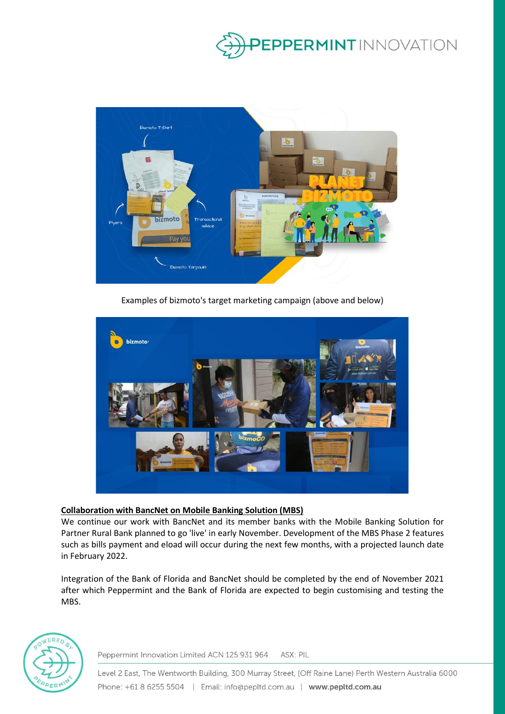



Examples of bizmoto's target marketing campaign (above and below)



### **Collaboration with BancNet on Mobile Banking Solution (MBS)**

We continue our work with BancNet and its member banks with the Mobile Banking Solution for Partner Rural Bank planned to go 'live' in early November. Development of the MBS Phase 2 features such as bills payment and eload will occur during the next few months, with a projected launch date in February 2022.

Integration of the Bank of Florida and BancNet should be completed by the end of November 2021 after which Peppermint and the Bank of Florida are expected to begin customising and testing the MBS.



Peppermint Innovation Limited ACN 125 931 964 ASX: PIL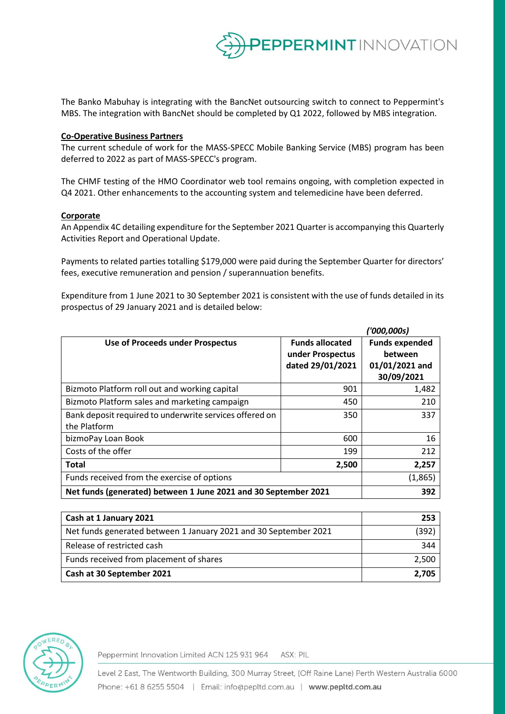

The Banko Mabuhay is integrating with the BancNet outsourcing switch to connect to Peppermint's MBS. The integration with BancNet should be completed by Q1 2022, followed by MBS integration.

#### **Co-Operative Business Partners**

The current schedule of work for the MASS-SPECC Mobile Banking Service (MBS) program has been deferred to 2022 as part of MASS-SPECC's program.

The CHMF testing of the HMO Coordinator web tool remains ongoing, with completion expected in Q4 2021. Other enhancements to the accounting system and telemedicine have been deferred.

#### **Corporate**

An Appendix 4C detailing expenditure for the September 2021 Quarter is accompanying this Quarterly Activities Report and Operational Update.

Payments to related parties totalling \$179,000 were paid during the September Quarter for directors' fees, executive remuneration and pension / superannuation benefits.

Expenditure from 1 June 2021 to 30 September 2021 is consistent with the use of funds detailed in its prospectus of 29 January 2021 and is detailed below:

|                                                                         |                                                                | '000,000s)                                                       |
|-------------------------------------------------------------------------|----------------------------------------------------------------|------------------------------------------------------------------|
| <b>Use of Proceeds under Prospectus</b>                                 | <b>Funds allocated</b><br>under Prospectus<br>dated 29/01/2021 | <b>Funds expended</b><br>between<br>01/01/2021 and<br>30/09/2021 |
| Bizmoto Platform roll out and working capital                           | 901                                                            | 1,482                                                            |
| Bizmoto Platform sales and marketing campaign                           | 450                                                            | 210                                                              |
| Bank deposit required to underwrite services offered on<br>the Platform | 350                                                            | 337                                                              |
| bizmoPay Loan Book                                                      | 600                                                            | 16                                                               |
| Costs of the offer                                                      | 199                                                            | 212                                                              |
| <b>Total</b>                                                            | 2,500                                                          | 2,257                                                            |
| Funds received from the exercise of options                             |                                                                | (1,865)                                                          |
| Net funds (generated) between 1 June 2021 and 30 September 2021         |                                                                | 392                                                              |

| Cash at 1 January 2021                                           | 253   |
|------------------------------------------------------------------|-------|
| Net funds generated between 1 January 2021 and 30 September 2021 | (392) |
| Release of restricted cash                                       | 344   |
| Funds received from placement of shares                          | 2,500 |
| Cash at 30 September 2021                                        | 2.705 |



Peppermint Innovation Limited ACN 125 931 964 ASX: PIL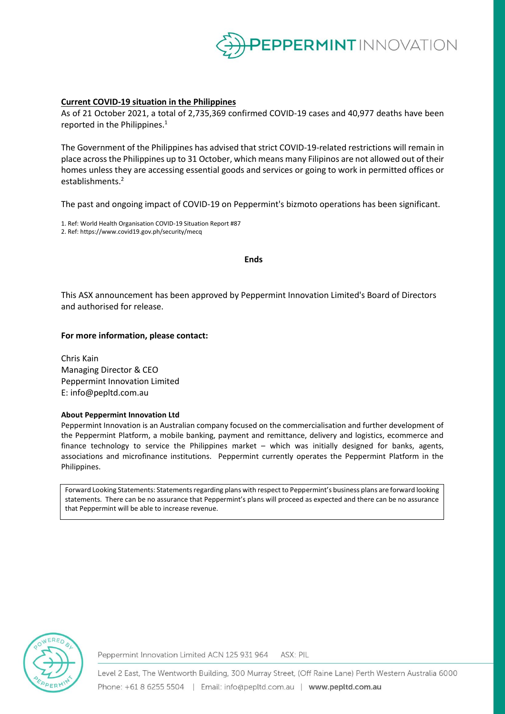

#### **Current COVID-19 situation in the Philippines**

As of 21 October 2021, a total of 2,735,369 confirmed COVID-19 cases and 40,977 deaths have been reported in the Philippines.<sup>1</sup>

The Government of the Philippines has advised that strict COVID-19-related restrictions will remain in place across the Philippines up to 31 October, which means many Filipinos are not allowed out of their homes unless they are accessing essential goods and services or going to work in permitted offices or establishments.<sup>2</sup>

The past and ongoing impact of COVID-19 on Peppermint's bizmoto operations has been significant.

1. Ref: World Health Organisation COVID-19 Situation Report #87 2. Ref: https://www.covid19.gov.ph/security/mecq

#### **Ends**

This ASX announcement has been approved by Peppermint Innovation Limited's Board of Directors and authorised for release.

#### **For more information, please contact:**

Chris Kain Managing Director & CEO Peppermint Innovation Limited E: info@pepltd.com.au

#### **About Peppermint Innovation Ltd**

Peppermint Innovation is an Australian company focused on the commercialisation and further development of the Peppermint Platform, a mobile banking, payment and remittance, delivery and logistics, ecommerce and finance technology to service the Philippines market – which was initially designed for banks, agents, associations and microfinance institutions. Peppermint currently operates the Peppermint Platform in the Philippines.

Forward Looking Statements: Statements regarding plans with respect to Peppermint's business plans are forward looking statements. There can be no assurance that Peppermint's plans will proceed as expected and there can be no assurance that Peppermint will be able to increase revenue.



Peppermint Innovation Limited ACN 125 931 964 ASX: PIL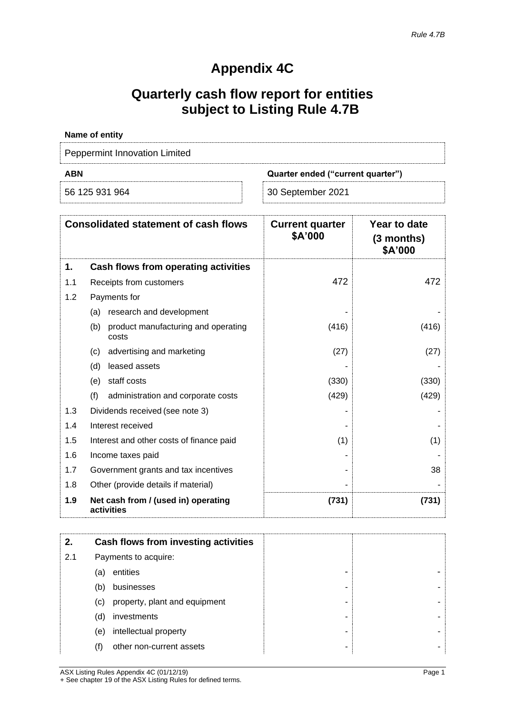# **Appendix 4C**

# **Quarterly cash flow report for entities subject to Listing Rule 4.7B**

| Name of entity                           |                   |  |
|------------------------------------------|-------------------|--|
| Peppermint Innovation Limited            |                   |  |
| ABN<br>Quarter ended ("current quarter") |                   |  |
| 56 125 931 964                           | 30 September 2021 |  |

|     | <b>Consolidated statement of cash flows</b>         | <b>Current quarter</b><br>\$A'000 | Year to date<br>(3 months)<br>\$A'000 |
|-----|-----------------------------------------------------|-----------------------------------|---------------------------------------|
| 1.  | Cash flows from operating activities                |                                   |                                       |
| 1.1 | Receipts from customers                             | 472                               | 472                                   |
| 1.2 | Payments for                                        |                                   |                                       |
|     | research and development<br>(a)                     |                                   |                                       |
|     | (b)<br>product manufacturing and operating<br>costs | (416)                             | (416)                                 |
|     | advertising and marketing<br>(c)                    | (27)                              | (27)                                  |
|     | (d)<br>leased assets                                |                                   |                                       |
|     | staff costs<br>(e)                                  | (330)                             | (330)                                 |
|     | (f)<br>administration and corporate costs           | (429)                             | (429)                                 |
| 1.3 | Dividends received (see note 3)                     |                                   |                                       |
| 1.4 | Interest received                                   |                                   |                                       |
| 1.5 | Interest and other costs of finance paid            | (1)                               | (1)                                   |
| 1.6 | Income taxes paid                                   |                                   |                                       |
| 1.7 | Government grants and tax incentives                |                                   | 38                                    |
| 1.8 | Other (provide details if material)                 |                                   |                                       |
| 1.9 | Net cash from / (used in) operating<br>activities   | (731)                             | (731)                                 |

| 2.  |     | Cash flows from investing activities |   |
|-----|-----|--------------------------------------|---|
| 2.1 |     | Payments to acquire:                 |   |
|     | (a) | entities                             |   |
|     | (b) | businesses                           |   |
|     | (c) | property, plant and equipment        |   |
|     | (d) | investments                          |   |
|     | (e) | intellectual property                | - |
|     | (f) | other non-current assets             |   |

ASX Listing Rules Appendix 4C (01/12/19) Page 1 + See chapter 19 of the ASX Listing Rules for defined terms.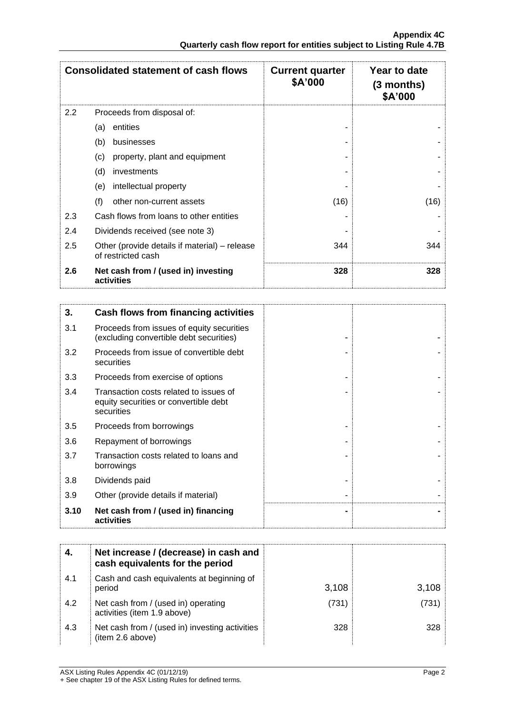|     | <b>Consolidated statement of cash flows</b>                         | <b>Current quarter</b><br>\$A'000 | Year to date<br>$(3$ months)<br>\$A'000 |
|-----|---------------------------------------------------------------------|-----------------------------------|-----------------------------------------|
| 2.2 | Proceeds from disposal of:                                          |                                   |                                         |
|     | entities<br>(a)                                                     |                                   |                                         |
|     | (b)<br>businesses                                                   |                                   |                                         |
|     | property, plant and equipment<br>(c)                                |                                   |                                         |
|     | (d)<br>investments                                                  |                                   |                                         |
|     | intellectual property<br>(e)                                        |                                   |                                         |
|     | (f)<br>other non-current assets                                     | (16)                              | (16)                                    |
| 2.3 | Cash flows from loans to other entities                             |                                   |                                         |
| 2.4 | Dividends received (see note 3)                                     |                                   |                                         |
| 2.5 | Other (provide details if material) – release<br>of restricted cash | 344                               | 344                                     |
| 2.6 | Net cash from / (used in) investing<br>activities                   | 328                               | 328                                     |

| 3.   | Cash flows from financing activities                                                          |  |
|------|-----------------------------------------------------------------------------------------------|--|
| 3.1  | Proceeds from issues of equity securities<br>(excluding convertible debt securities)          |  |
| 3.2  | Proceeds from issue of convertible debt<br>securities                                         |  |
| 3.3  | Proceeds from exercise of options                                                             |  |
| 3.4  | Transaction costs related to issues of<br>equity securities or convertible debt<br>securities |  |
| 3.5  | Proceeds from borrowings                                                                      |  |
| 3.6  | Repayment of borrowings                                                                       |  |
| 3.7  | Transaction costs related to loans and<br>borrowings                                          |  |
| 3.8  | Dividends paid                                                                                |  |
| 3.9  | Other (provide details if material)                                                           |  |
| 3.10 | Net cash from / (used in) financing<br>activities                                             |  |

|     | Net increase / (decrease) in cash and<br>cash equivalents for the period |       |       |
|-----|--------------------------------------------------------------------------|-------|-------|
| 4.1 | Cash and cash equivalents at beginning of<br>period                      | 3,108 | 3,108 |
| 4.2 | Net cash from / (used in) operating<br>activities (item 1.9 above)       | (731) | (731) |
| 4.3 | Net cash from / (used in) investing activities<br>(item 2.6 above)       | 328   | 328   |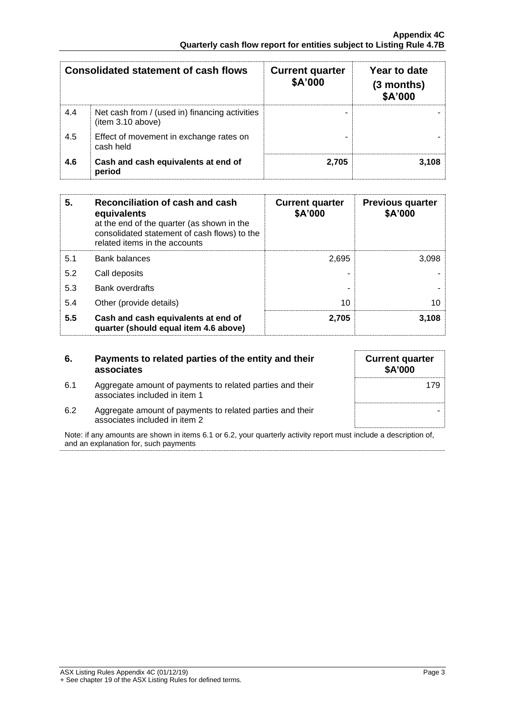|     | <b>Consolidated statement of cash flows</b>                         | <b>Current quarter</b><br>\$A'000 | Year to date<br>$(3$ months)<br>\$A'000 |
|-----|---------------------------------------------------------------------|-----------------------------------|-----------------------------------------|
| 4.4 | Net cash from / (used in) financing activities<br>(item 3.10 above) |                                   |                                         |
| 4.5 | Effect of movement in exchange rates on<br>cash held                |                                   |                                         |
| 4.6 | Cash and cash equivalents at end of<br>period                       | 2.705                             | 3.108                                   |

| 5.  | Reconciliation of cash and cash<br>equivalents<br>at the end of the quarter (as shown in the<br>consolidated statement of cash flows) to the<br>related items in the accounts | <b>Current quarter</b><br>\$A'000 | <b>Previous quarter</b><br>\$A'000 |
|-----|-------------------------------------------------------------------------------------------------------------------------------------------------------------------------------|-----------------------------------|------------------------------------|
| 5.1 | <b>Bank balances</b>                                                                                                                                                          | 2,695                             | 3.098                              |
| 5.2 | Call deposits                                                                                                                                                                 |                                   |                                    |
| 5.3 | <b>Bank overdrafts</b>                                                                                                                                                        |                                   |                                    |
| 5.4 | Other (provide details)                                                                                                                                                       | 10                                | 10                                 |
| 5.5 | Cash and cash equivalents at end of<br>quarter (should equal item 4.6 above)                                                                                                  | 2,705                             | 3,108                              |

| 6.  | Payments to related parties of the entity and their<br>associates                          |  |
|-----|--------------------------------------------------------------------------------------------|--|
| 6.1 | Aggregate amount of payments to related parties and their<br>associates included in item 1 |  |
| 6.2 | Agaregate amount of payments to related parties and their                                  |  |

| 6.2 | Aggregate amount of payments to related parties and their<br>associates included in item 2                                                                 |  |
|-----|------------------------------------------------------------------------------------------------------------------------------------------------------------|--|
|     | Note: if any amounts are shown in items 6.1 or 6.2, your quarterly activity report must include a description of,<br>and an explanation for, such payments |  |

ASX Listing Rules Appendix 4C (01/12/19) Page 3 + See chapter 19 of the ASX Listing Rules for defined terms.

**Current quarter \$A'000**

179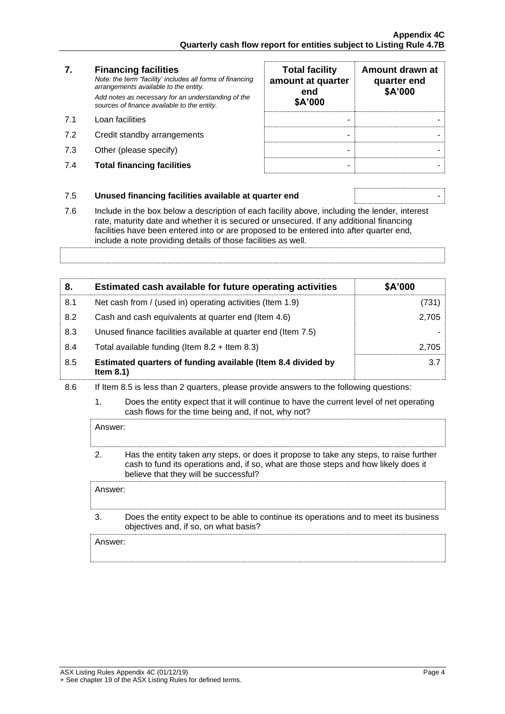#### **7. Financing facilities** *Note: the term "facility' includes all forms of financing*

- 
- 7.2 Credit standby arrangements
- 7.3 Other (please specify)
- **7.4 Total financing facilities**

| 7.  | <b>Financing facilities</b><br>Note: the term "facility' includes all forms of financing<br>arrangements available to the entity.<br>Add notes as necessary for an understanding of the<br>sources of finance available to the entity. | <b>Total facility</b><br>amount at quarter<br>end<br>\$A'000 | Amount drawn at<br>quarter end<br>\$A'000 |
|-----|----------------------------------------------------------------------------------------------------------------------------------------------------------------------------------------------------------------------------------------|--------------------------------------------------------------|-------------------------------------------|
| 71  | Loan facilities                                                                                                                                                                                                                        |                                                              |                                           |
| 7.2 | Credit standby arrangements                                                                                                                                                                                                            |                                                              |                                           |
| 7.3 | Other (please specify)                                                                                                                                                                                                                 |                                                              |                                           |
| 7.4 | <b>Total financing facilities</b>                                                                                                                                                                                                      |                                                              |                                           |

#### 7.5 **Unused financing facilities available at quarter end** -

7.6 Include in the box below a description of each facility above, including the lender, interest rate, maturity date and whether it is secured or unsecured. If any additional financing facilities have been entered into or are proposed to be entered into after quarter end, include a note providing details of those facilities as well.

### **8. Estimated cash available for future operating activities \$A'000** 8.1 Net cash from / (used in) operating activities (Item 1.9) (731) 8.2 Cash and cash equivalents at quarter end (Item 4.6) 2,705 8.3 Unused finance facilities available at quarter end (Item 7.5) 8.4 Total available funding (Item 8.2 + Item 8.3) 2,705 8.5 **Estimated quarters of funding available (Item 8.4 divided by Item 8.1)** 3.7

- 8.6 If Item 8.5 is less than 2 quarters, please provide answers to the following questions:
	- 1. Does the entity expect that it will continue to have the current level of net operating cash flows for the time being and, if not, why not?

Answer:

2. Has the entity taken any steps, or does it propose to take any steps, to raise further cash to fund its operations and, if so, what are those steps and how likely does it believe that they will be successful?

Answer:

3. Does the entity expect to be able to continue its operations and to meet its business objectives and, if so, on what basis?

Answer: